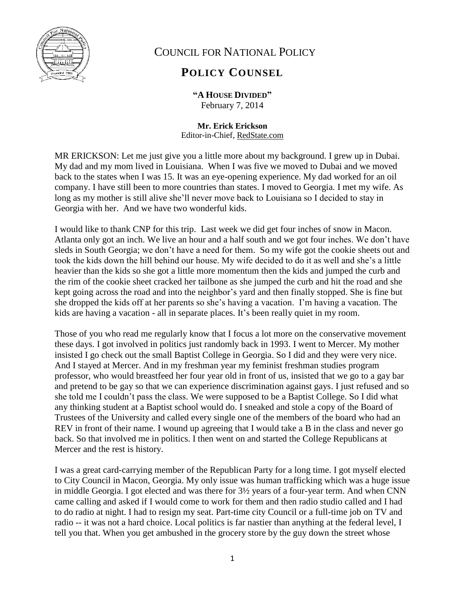

## COUNCIL FOR NATIONAL POLICY

## **POLICY COUNSEL**

**"A HOUSE DIVIDED"** February 7, 2014

**Mr. Erick Erickson** Editor-in-Chief, RedState.com

MR ERICKSON: Let me just give you a little more about my background. I grew up in Dubai. My dad and my mom lived in Louisiana. When I was five we moved to Dubai and we moved back to the states when I was 15. It was an eye-opening experience. My dad worked for an oil company. I have still been to more countries than states. I moved to Georgia. I met my wife. As long as my mother is still alive she'll never move back to Louisiana so I decided to stay in Georgia with her. And we have two wonderful kids.

I would like to thank CNP for this trip. Last week we did get four inches of snow in Macon. Atlanta only got an inch. We live an hour and a half south and we got four inches. We don't have sleds in South Georgia; we don't have a need for them. So my wife got the cookie sheets out and took the kids down the hill behind our house. My wife decided to do it as well and she's a little heavier than the kids so she got a little more momentum then the kids and jumped the curb and the rim of the cookie sheet cracked her tailbone as she jumped the curb and hit the road and she kept going across the road and into the neighbor's yard and then finally stopped. She is fine but she dropped the kids off at her parents so she's having a vacation. I'm having a vacation. The kids are having a vacation - all in separate places. It's been really quiet in my room.

Those of you who read me regularly know that I focus a lot more on the conservative movement these days. I got involved in politics just randomly back in 1993. I went to Mercer. My mother insisted I go check out the small Baptist College in Georgia. So I did and they were very nice. And I stayed at Mercer. And in my freshman year my feminist freshman studies program professor, who would breastfeed her four year old in front of us, insisted that we go to a gay bar and pretend to be gay so that we can experience discrimination against gays. I just refused and so she told me I couldn't pass the class. We were supposed to be a Baptist College. So I did what any thinking student at a Baptist school would do. I sneaked and stole a copy of the Board of Trustees of the University and called every single one of the members of the board who had an REV in front of their name. I wound up agreeing that I would take a B in the class and never go back. So that involved me in politics. I then went on and started the College Republicans at Mercer and the rest is history.

I was a great card-carrying member of the Republican Party for a long time. I got myself elected to City Council in Macon, Georgia. My only issue was human trafficking which was a huge issue in middle Georgia. I got elected and was there for 3½ years of a four-year term. And when CNN came calling and asked if I would come to work for them and then radio studio called and I had to do radio at night. I had to resign my seat. Part-time city Council or a full-time job on TV and radio -- it was not a hard choice. Local politics is far nastier than anything at the federal level, I tell you that. When you get ambushed in the grocery store by the guy down the street whose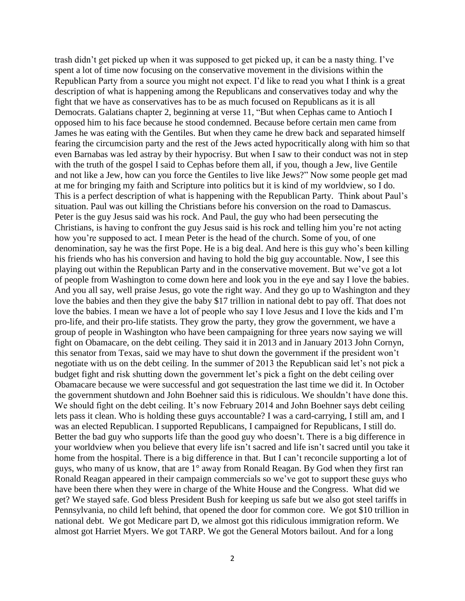trash didn't get picked up when it was supposed to get picked up, it can be a nasty thing. I've spent a lot of time now focusing on the conservative movement in the divisions within the Republican Party from a source you might not expect. I'd like to read you what I think is a great description of what is happening among the Republicans and conservatives today and why the fight that we have as conservatives has to be as much focused on Republicans as it is all Democrats. Galatians chapter 2, beginning at verse 11, "But when Cephas came to Antioch I opposed him to his face because he stood condemned. Because before certain men came from James he was eating with the Gentiles. But when they came he drew back and separated himself fearing the circumcision party and the rest of the Jews acted hypocritically along with him so that even Barnabas was led astray by their hypocrisy. But when I saw to their conduct was not in step with the truth of the gospel I said to Cephas before them all, if you, though a Jew, live Gentile and not like a Jew, how can you force the Gentiles to live like Jews?" Now some people get mad at me for bringing my faith and Scripture into politics but it is kind of my worldview, so I do. This is a perfect description of what is happening with the Republican Party. Think about Paul's situation. Paul was out killing the Christians before his conversion on the road to Damascus. Peter is the guy Jesus said was his rock. And Paul, the guy who had been persecuting the Christians, is having to confront the guy Jesus said is his rock and telling him you're not acting how you're supposed to act. I mean Peter is the head of the church. Some of you, of one denomination, say he was the first Pope. He is a big deal. And here is this guy who's been killing his friends who has his conversion and having to hold the big guy accountable. Now, I see this playing out within the Republican Party and in the conservative movement. But we've got a lot of people from Washington to come down here and look you in the eye and say I love the babies. And you all say, well praise Jesus, go vote the right way. And they go up to Washington and they love the babies and then they give the baby \$17 trillion in national debt to pay off. That does not love the babies. I mean we have a lot of people who say I love Jesus and I love the kids and I'm pro-life, and their pro-life statists. They grow the party, they grow the government, we have a group of people in Washington who have been campaigning for three years now saying we will fight on Obamacare, on the debt ceiling. They said it in 2013 and in January 2013 John Cornyn, this senator from Texas, said we may have to shut down the government if the president won't negotiate with us on the debt ceiling. In the summer of 2013 the Republican said let's not pick a budget fight and risk shutting down the government let's pick a fight on the debt ceiling over Obamacare because we were successful and got sequestration the last time we did it. In October the government shutdown and John Boehner said this is ridiculous. We shouldn't have done this. We should fight on the debt ceiling. It's now February 2014 and John Boehner says debt ceiling lets pass it clean. Who is holding these guys accountable? I was a card-carrying, I still am, and I was an elected Republican. I supported Republicans, I campaigned for Republicans, I still do. Better the bad guy who supports life than the good guy who doesn't. There is a big difference in your worldview when you believe that every life isn't sacred and life isn't sacred until you take it home from the hospital. There is a big difference in that. But I can't reconcile supporting a lot of guys, who many of us know, that are 1° away from Ronald Reagan. By God when they first ran Ronald Reagan appeared in their campaign commercials so we've got to support these guys who have been there when they were in charge of the White House and the Congress. What did we get? We stayed safe. God bless President Bush for keeping us safe but we also got steel tariffs in Pennsylvania, no child left behind, that opened the door for common core. We got \$10 trillion in national debt. We got Medicare part D, we almost got this ridiculous immigration reform. We almost got Harriet Myers. We got TARP. We got the General Motors bailout. And for a long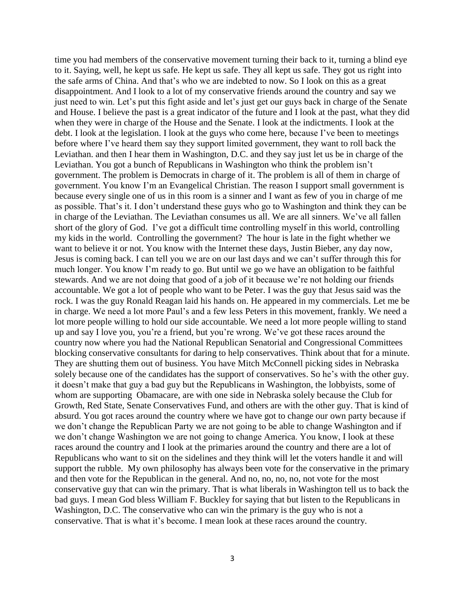time you had members of the conservative movement turning their back to it, turning a blind eye to it. Saying, well, he kept us safe. He kept us safe. They all kept us safe. They got us right into the safe arms of China. And that's who we are indebted to now. So I look on this as a great disappointment. And I look to a lot of my conservative friends around the country and say we just need to win. Let's put this fight aside and let's just get our guys back in charge of the Senate and House. I believe the past is a great indicator of the future and I look at the past, what they did when they were in charge of the House and the Senate. I look at the indictments. I look at the debt. I look at the legislation. I look at the guys who come here, because I've been to meetings before where I've heard them say they support limited government, they want to roll back the Leviathan. and then I hear them in Washington, D.C. and they say just let us be in charge of the Leviathan. You got a bunch of Republicans in Washington who think the problem isn't government. The problem is Democrats in charge of it. The problem is all of them in charge of government. You know I'm an Evangelical Christian. The reason I support small government is because every single one of us in this room is a sinner and I want as few of you in charge of me as possible. That's it. I don't understand these guys who go to Washington and think they can be in charge of the Leviathan. The Leviathan consumes us all. We are all sinners. We've all fallen short of the glory of God. I've got a difficult time controlling myself in this world, controlling my kids in the world. Controlling the government? The hour is late in the fight whether we want to believe it or not. You know with the Internet these days, Justin Bieber, any day now, Jesus is coming back. I can tell you we are on our last days and we can't suffer through this for much longer. You know I'm ready to go. But until we go we have an obligation to be faithful stewards. And we are not doing that good of a job of it because we're not holding our friends accountable. We got a lot of people who want to be Peter. I was the guy that Jesus said was the rock. I was the guy Ronald Reagan laid his hands on. He appeared in my commercials. Let me be in charge. We need a lot more Paul's and a few less Peters in this movement, frankly. We need a lot more people willing to hold our side accountable. We need a lot more people willing to stand up and say I love you, you're a friend, but you're wrong. We've got these races around the country now where you had the National Republican Senatorial and Congressional Committees blocking conservative consultants for daring to help conservatives. Think about that for a minute. They are shutting them out of business. You have Mitch McConnell picking sides in Nebraska solely because one of the candidates has the support of conservatives. So he's with the other guy. it doesn't make that guy a bad guy but the Republicans in Washington, the lobbyists, some of whom are supporting Obamacare, are with one side in Nebraska solely because the Club for Growth, Red State, Senate Conservatives Fund, and others are with the other guy. That is kind of absurd. You got races around the country where we have got to change our own party because if we don't change the Republican Party we are not going to be able to change Washington and if we don't change Washington we are not going to change America. You know, I look at these races around the country and I look at the primaries around the country and there are a lot of Republicans who want to sit on the sidelines and they think will let the voters handle it and will support the rubble. My own philosophy has always been vote for the conservative in the primary and then vote for the Republican in the general. And no, no, no, no, not vote for the most conservative guy that can win the primary. That is what liberals in Washington tell us to back the bad guys. I mean God bless William F. Buckley for saying that but listen to the Republicans in Washington, D.C. The conservative who can win the primary is the guy who is not a conservative. That is what it's become. I mean look at these races around the country.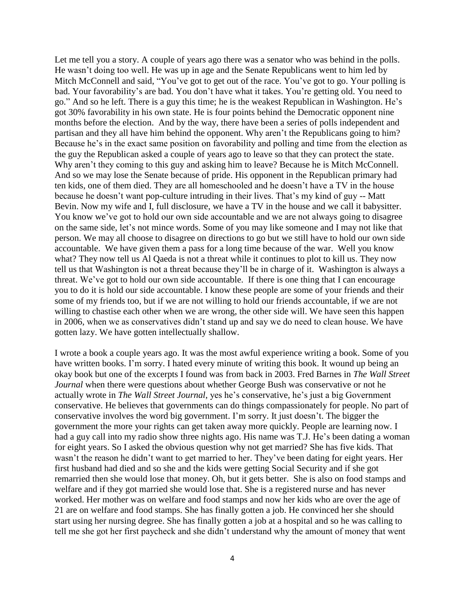Let me tell you a story. A couple of years ago there was a senator who was behind in the polls. He wasn't doing too well. He was up in age and the Senate Republicans went to him led by Mitch McConnell and said, "You've got to get out of the race. You've got to go. Your polling is bad. Your favorability's are bad. You don't have what it takes. You're getting old. You need to go." And so he left. There is a guy this time; he is the weakest Republican in Washington. He's got 30% favorability in his own state. He is four points behind the Democratic opponent nine months before the election. And by the way, there have been a series of polls independent and partisan and they all have him behind the opponent. Why aren't the Republicans going to him? Because he's in the exact same position on favorability and polling and time from the election as the guy the Republican asked a couple of years ago to leave so that they can protect the state. Why aren't they coming to this guy and asking him to leave? Because he is Mitch McConnell. And so we may lose the Senate because of pride. His opponent in the Republican primary had ten kids, one of them died. They are all homeschooled and he doesn't have a TV in the house because he doesn't want pop-culture intruding in their lives. That's my kind of guy -- Matt Bevin. Now my wife and I, full disclosure, we have a TV in the house and we call it babysitter. You know we've got to hold our own side accountable and we are not always going to disagree on the same side, let's not mince words. Some of you may like someone and I may not like that person. We may all choose to disagree on directions to go but we still have to hold our own side accountable. We have given them a pass for a long time because of the war. Well you know what? They now tell us Al Qaeda is not a threat while it continues to plot to kill us. They now tell us that Washington is not a threat because they'll be in charge of it. Washington is always a threat. We've got to hold our own side accountable. If there is one thing that I can encourage you to do it is hold our side accountable. I know these people are some of your friends and their some of my friends too, but if we are not willing to hold our friends accountable, if we are not willing to chastise each other when we are wrong, the other side will. We have seen this happen in 2006, when we as conservatives didn't stand up and say we do need to clean house. We have gotten lazy. We have gotten intellectually shallow.

I wrote a book a couple years ago. It was the most awful experience writing a book. Some of you have written books. I'm sorry. I hated every minute of writing this book. It wound up being an okay book but one of the excerpts I found was from back in 2003. Fred Barnes in *The Wall Street Journal* when there were questions about whether George Bush was conservative or not he actually wrote in *The Wall Street Journal*, yes he's conservative, he's just a big Government conservative. He believes that governments can do things compassionately for people. No part of conservative involves the word big government. I'm sorry. It just doesn't. The bigger the government the more your rights can get taken away more quickly. People are learning now. I had a guy call into my radio show three nights ago. His name was T.J. He's been dating a woman for eight years. So I asked the obvious question why not get married? She has five kids. That wasn't the reason he didn't want to get married to her. They've been dating for eight years. Her first husband had died and so she and the kids were getting Social Security and if she got remarried then she would lose that money. Oh, but it gets better. She is also on food stamps and welfare and if they got married she would lose that. She is a registered nurse and has never worked. Her mother was on welfare and food stamps and now her kids who are over the age of 21 are on welfare and food stamps. She has finally gotten a job. He convinced her she should start using her nursing degree. She has finally gotten a job at a hospital and so he was calling to tell me she got her first paycheck and she didn't understand why the amount of money that went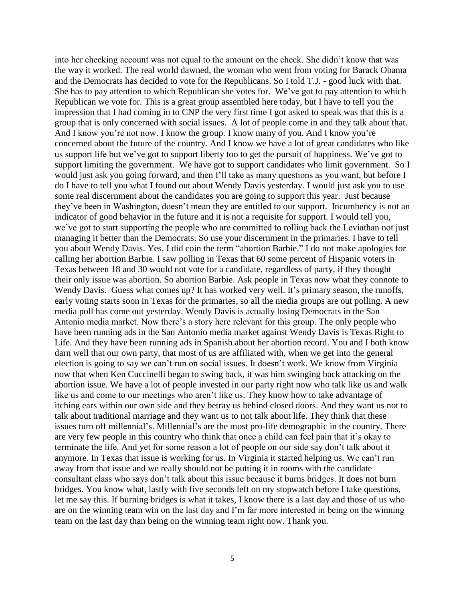into her checking account was not equal to the amount on the check. She didn't know that was the way it worked. The real world dawned, the woman who went from voting for Barack Obama and the Democrats has decided to vote for the Republicans. So I told T.J. - good luck with that. She has to pay attention to which Republican she votes for. We've got to pay attention to which Republican we vote for. This is a great group assembled here today, but I have to tell you the impression that I had coming in to CNP the very first time I got asked to speak was that this is a group that is only concerned with social issues. A lot of people come in and they talk about that. And I know you're not now. I know the group. I know many of you. And I know you're concerned about the future of the country. And I know we have a lot of great candidates who like us support life but we've got to support liberty too to get the pursuit of happiness. We've got to support limiting the government. We have got to support candidates who limit government. So I would just ask you going forward, and then I'll take as many questions as you want, but before I do I have to tell you what I found out about Wendy Davis yesterday. I would just ask you to use some real discernment about the candidates you are going to support this year. Just because they've been in Washington, doesn't mean they are entitled to our support. Incumbency is not an indicator of good behavior in the future and it is not a requisite for support. I would tell you, we've got to start supporting the people who are committed to rolling back the Leviathan not just managing it better than the Democrats. So use your discernment in the primaries. I have to tell you about Wendy Davis. Yes, I did coin the term "abortion Barbie." I do not make apologies for calling her abortion Barbie. I saw polling in Texas that 60 some percent of Hispanic voters in Texas between 18 and 30 would not vote for a candidate, regardless of party, if they thought their only issue was abortion. So abortion Barbie. Ask people in Texas now what they connote to Wendy Davis. Guess what comes up? It has worked very well. It's primary season, the runoffs, early voting starts soon in Texas for the primaries, so all the media groups are out polling. A new media poll has come out yesterday. Wendy Davis is actually losing Democrats in the San Antonio media market. Now there's a story here relevant for this group. The only people who have been running ads in the San Antonio media market against Wendy Davis is Texas Right to Life. And they have been running ads in Spanish about her abortion record. You and I both know darn well that our own party, that most of us are affiliated with, when we get into the general election is going to say we can't run on social issues. It doesn't work. We know from Virginia now that when Ken Cuccinelli began to swing back, it was him swinging back attacking on the abortion issue. We have a lot of people invested in our party right now who talk like us and walk like us and come to our meetings who aren't like us. They know how to take advantage of itching ears within our own side and they betray us behind closed doors. And they want us not to talk about traditional marriage and they want us to not talk about life. They think that these issues turn off millennial's. Millennial's are the most pro-life demographic in the country. There are very few people in this country who think that once a child can feel pain that it's okay to terminate the life. And yet for some reason a lot of people on our side say don't talk about it anymore. In Texas that issue is working for us. In Virginia it started helping us. We can't run away from that issue and we really should not be putting it in rooms with the candidate consultant class who says don't talk about this issue because it burns bridges. It does not burn bridges. You know what, lastly with five seconds left on my stopwatch before I take questions, let me say this. If burning bridges is what it takes, I know there is a last day and those of us who are on the winning team win on the last day and I'm far more interested in being on the winning team on the last day than being on the winning team right now. Thank you.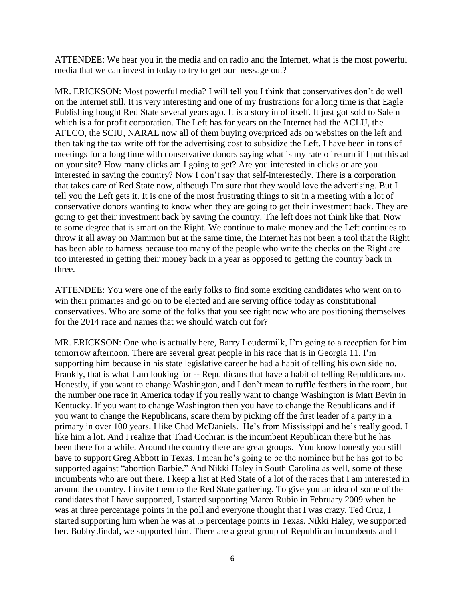ATTENDEE: We hear you in the media and on radio and the Internet, what is the most powerful media that we can invest in today to try to get our message out?

MR. ERICKSON: Most powerful media? I will tell you I think that conservatives don't do well on the Internet still. It is very interesting and one of my frustrations for a long time is that Eagle Publishing bought Red State several years ago. It is a story in of itself. It just got sold to Salem which is a for profit corporation. The Left has for years on the Internet had the ACLU, the AFLCO, the SCIU, NARAL now all of them buying overpriced ads on websites on the left and then taking the tax write off for the advertising cost to subsidize the Left. I have been in tons of meetings for a long time with conservative donors saying what is my rate of return if I put this ad on your site? How many clicks am I going to get? Are you interested in clicks or are you interested in saving the country? Now I don't say that self-interestedly. There is a corporation that takes care of Red State now, although I'm sure that they would love the advertising. But I tell you the Left gets it. It is one of the most frustrating things to sit in a meeting with a lot of conservative donors wanting to know when they are going to get their investment back. They are going to get their investment back by saving the country. The left does not think like that. Now to some degree that is smart on the Right. We continue to make money and the Left continues to throw it all away on Mammon but at the same time, the Internet has not been a tool that the Right has been able to harness because too many of the people who write the checks on the Right are too interested in getting their money back in a year as opposed to getting the country back in three.

ATTENDEE: You were one of the early folks to find some exciting candidates who went on to win their primaries and go on to be elected and are serving office today as constitutional conservatives. Who are some of the folks that you see right now who are positioning themselves for the 2014 race and names that we should watch out for?

MR. ERICKSON: One who is actually here, Barry Loudermilk, I'm going to a reception for him tomorrow afternoon. There are several great people in his race that is in Georgia 11. I'm supporting him because in his state legislative career he had a habit of telling his own side no. Frankly, that is what I am looking for -- Republicans that have a habit of telling Republicans no. Honestly, if you want to change Washington, and I don't mean to ruffle feathers in the room, but the number one race in America today if you really want to change Washington is Matt Bevin in Kentucky. If you want to change Washington then you have to change the Republicans and if you want to change the Republicans, scare them by picking off the first leader of a party in a primary in over 100 years. I like Chad McDaniels. He's from Mississippi and he's really good. I like him a lot. And I realize that Thad Cochran is the incumbent Republican there but he has been there for a while. Around the country there are great groups. You know honestly you still have to support Greg Abbott in Texas. I mean he's going to be the nominee but he has got to be supported against "abortion Barbie." And Nikki Haley in South Carolina as well, some of these incumbents who are out there. I keep a list at Red State of a lot of the races that I am interested in around the country. I invite them to the Red State gathering. To give you an idea of some of the candidates that I have supported, I started supporting Marco Rubio in February 2009 when he was at three percentage points in the poll and everyone thought that I was crazy. Ted Cruz, I started supporting him when he was at .5 percentage points in Texas. Nikki Haley, we supported her. Bobby Jindal, we supported him. There are a great group of Republican incumbents and I